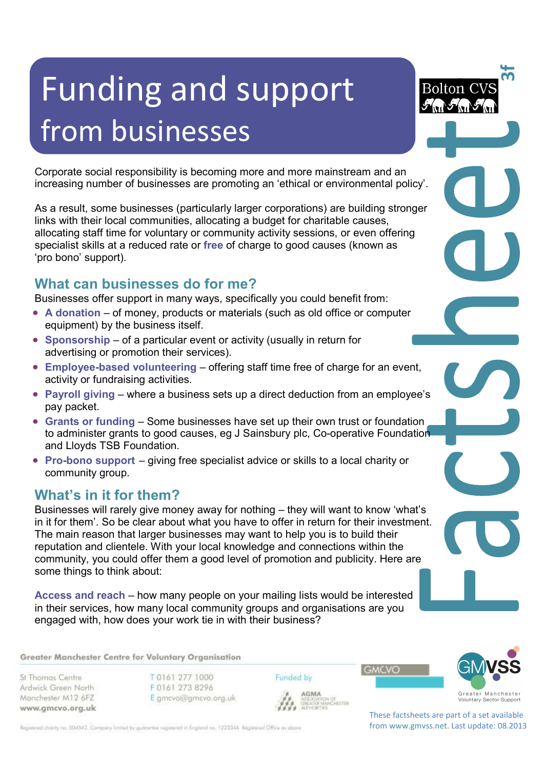# Funding and support from businesses

Corporate social responsibility is becoming more and more mainstream and an increasing number of businesses are promoting an 'ethical or environmental policy'.

As a result, some businesses (particularly larger corporations) are building stronger links with their local communities, allocating a budget for charitable causes, allocating staff time for voluntary or community activity sessions, or even offering specialist skills at a reduced rate or **free** of charge to good causes (known as 'pro bono' support).

## **What can businesses do for me?**

Businesses offer support in many ways, specifically you could benefit from:

- **A donation** of money, products or materials (such as old office or computer equipment) by the business itself.
- **Sponsorship** of a particular event or activity (usually in return for advertising or promotion their services).
- **Employee-based volunteering** offering staff time free of charge for an event, activity or fundraising activities.
- **Payroll giving** where a business sets up a direct deduction from an employee's pay packet.
- **Grants or funding** Some businesses have set up their own trust or foundation to administer grants to good causes, eg J Sainsbury plc, Co-operative Foundation and Lloyds TSB Foundation.
- **Pro-bono support** giving free specialist advice or skills to a local charity or community group.

### **What's in it for them?**

Businesses will rarely give money away for nothing – they will want to know 'what's in it for them'. So be clear about what you have to offer in return for their investment. The main reason that larger businesses may want to help you is to build their reputation and clientele. With your local knowledge and connections within the community, you could offer them a good level of promotion and publicity. Here are some things to think about:

**Access and reach** – how many people on your mailing lists would be interested in their services, how many local community groups and organisations are you engaged with, how does your work tie in with their business?

Greater Manchester Centre for Voluntary Organisation

St Thomas Centre Ardwick Green North Manchester M12 6FZ www.gmcvo.org.uk T0161 277 1000 F0161 273 8296 E gmcvo@gmcvo.org.uk Funded by



**3f**

**GREATER MANCHESTER** 

**GMCVO** 



These factsheets are part of a set available from www.gmvss.net. Last update: 08.2013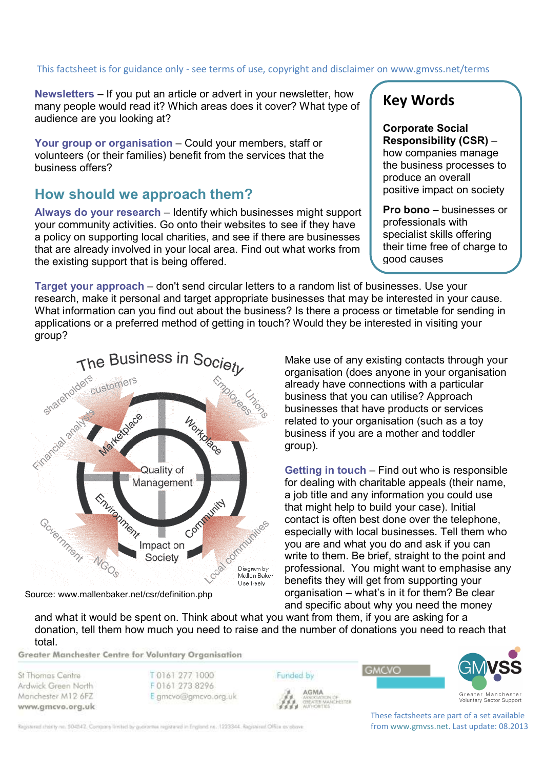# This factsheet is for guidance only - see terms of use, copyright and disclaimer on www.gmvss.net/terms

**Newsletters** – If you put an article or advert in your newsletter, how many people would read it? Which areas does it cover? What type of audience are you looking at?

**Your group or organisation** – Could your members, staff or volunteers (or their families) benefit from the services that the business offers?

#### **How should we approach them?**

**Always do your research** – Identify which businesses might support your community activities. Go onto their websites to see if they have a policy on supporting local charities, and see if there are businesses that are already involved in your local area. Find out what works from the existing support that is being offered.

# **Key Words**

**Corporate Social Responsibility (CSR)** – how companies manage the business processes to produce an overall positive impact on society

**Pro bono** – businesses or professionals with specialist skills offering their time free of charge to good causes

**Target your approach** – don't send circular letters to a random list of businesses. Use your research, make it personal and target appropriate businesses that may be interested in your cause. What information can you find out about the business? Is there a process or timetable for sending in applications or a preferred method of getting in touch? Would they be interested in visiting your group?



Source: www.mallenbaker.net/csr/definition.php

Make use of any existing contacts through your organisation (does anyone in your organisation already have connections with a particular business that you can utilise? Approach businesses that have products or services related to your organisation (such as a toy business if you are a mother and toddler group).

**Getting in touch** – Find out who is responsible for dealing with charitable appeals (their name, a job title and any information you could use that might help to build your case). Initial contact is often best done over the telephone, especially with local businesses. Tell them who you are and what you do and ask if you can write to them. Be brief, straight to the point and professional. You might want to emphasise any benefits they will get from supporting your organisation – what's in it for them? Be clear and specific about why you need the money

**GMCVO** 

and what it would be spent on. Think about what you want from them, if you are asking for a donation, tell them how much you need to raise and the number of donations you need to reach that total.

Greater Manchester Centre for Voluntary Organisation

St Thomas Centre Ardwick Green North Manchester M12 6FZ www.gmcvo.org.uk T 0161 277 1000 F0161 273 8296 E gmcvo@gmcvo.org.uk





Voluntary Sector Support

These factsheets are part of a set available from www.gmvss.net. Last update: 08.2013

Registered charity no. 504542. Company limited by guarantee registered in England no. 1223344. Registered Office as obove